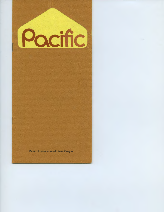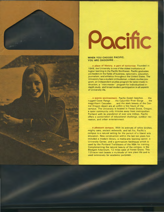

## Pacific

## WHEN YOU CHOOSE PACIFIC, YOU ARE CHOOSING . . .

. . . a place of history, a part of tomorrow. Founded in 1849, the University is one of the oldest institutions of higher learning in the Pacific Northwest. Pacific graduates are leaders in the fields of business, optometry, education, journalism, and athletics throughout the United States. The University has a student ombudsman, a black studies program, an independent studies program for tailor-made instruction, a "mini-mester" program for individualized indepth study, and broad student participation in all aspects of University life.

. . a scenic environment. Pacific Ocean beaches . . the rugged Coast Range . . . the Columbia River Gorge . . . the magnificent Cascades . . and the stark beauty of the Central Oregon desert are all within a few hours of the campus. The University is located in Forest Grove, Oregon, a quiet community only minutes away from metropolitan Portland with its population of over one million. Pacific offers a combination of educational challenge, outdoor recreation, and urban entertainment.

. . . a pleasant campus. With its avenues of white birches, mighty oaks, ancient redwoods, and tall firs, Pacific's campus is a natural setting for the pursuit of a liberal arts education. New construction within the last ten years has included a modern library, a media-arts learning center, a University Center, and a gymnasium fieldhouse which is used by the Portland Trailblazers of the NBA for training. Complementing the natural beauty of the campus, is the Blodgett Arboretum, 12 miles west of Forest Grove. This 125-acre tract boasts a multitude of rare plant life and is used extensively for academic purposes .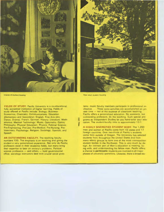

Interior of student housing

**FIELDS OF STUDY.** Pacific University is a co-educational, fully accredited institution of higher learning. Fields of study offered at Pacific include: Biology; Business-Economics; Chemistry; Communications; Education (Elementary and Secondary); English; Fine Arts (Art, Dance, Drama); French; German; History; Literature; Mathematics; Medical Technology; Music; Optometry; Optics; Philosophy; Physical Education; Physics; Political Science; Pre-Engineering; Pre-Law; Pre-Medical; Pre-Nursing; Pre-Veterinary; Psychology; Religion; Sociology; Spanish; and Speech.

**AN OUTSTANDING FACULTY. The teaching faculty** numbers 100. The emphasis is on teaching and giving the student a very personalized experience. Not only do Pacific professors excel in their academic fields, but many bring their expertise to bear on society's problems. Political  $science professor s - and others - hold governmental$ office; sociology instructors deal with crucial social prob-



**New adult student housing** 

t I lems; music faculty members participate in professional orchestras . . These extra activities are accomplished on private time  $-$  not at the expense of classroom teaching. Pacific offers a personalized education. No assistants, but outstanding professors, do the teaching. Such special programs as Independent Studies let you hand-tailor your education. The student-faculty ratio is approximately 12-1.

**A HIGHLY DIVERSIFIED STUDENT BODY.** The 1,250 men and women at Pacific come from 43 states and 17 foreign countries. Over two-thirds of Pacific's students come from outside of Oregon. The University has selected students from throughout the United States and from many ethnic groups to form one of the most cosmopolitan student bodies in the Northwest. This is very much by design. An intrinsic part of Man's education is meeting, living with, and understanding his fellow man. Pacific offers a chance to **participate;** students are involved in all major phases of university operations. Likewise, there is broad stu-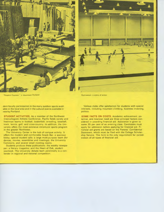

**"People's Fountain" in downtown Portland** 



Gymnasium: a scene of action

dent-faculty participation in the many outdoor sports available in the local area and in the cultural events available in nearby Portland.

**STUDENT ACTIVITIES.** As a member of the Northwest Intercollegiate Athletic Conference, Pacific fields varsity and freshman teams in football, basketball, wrestling, baseball, track, tennis, golf, and cross-country. In addition, the University offers the most extensive intramural sports program in the greater Northwest.

The University Center is the hub of campus activity. It offers the modern and comfortable Snack Bar; a spacious lobby; special student cafe; a large multi-purpose room (for dances, movies, assemblies and meetings); the University Commons, and several small meeting rooms.

Students produce these publications: the weekly newspaper; a literary magazine; and the Heart of Oak, student yearbook. The University debate team perennially is a contender in regional and national competition.

Various clubs offer satisfaction for students with special interests, including mountain climbing, business investing, politics.

**SOME FACTS ON COSTS.** Academic achievement, potential, and financial need are three principal factors considered in awarding financial aid. Assistance is given to some 35 per cent of an entering class. Candidates must apply for admission before applying for financial aid. Financial aid grants are based on the Parents' Confidential Statement, which must be filed with the College Scholarship Service. This form is the only requirement for consideration of all types of financial aid.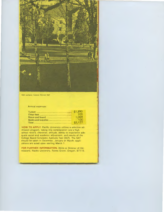

**East campus: historic Herrick Hall** 

Annual expenses:

|                    | \$1,890 |
|--------------------|---------|
|                    | 103     |
|                    | 1,064   |
| Books and supplies | ിററ     |
|                    | \$3,157 |

**HOW TO APPLY.** Pacific University utilizes a selective admission program, taking into consideration one's high school record, character, attitude, ability to experience adequate social and academic adjustment, and results of the College Board Scholastic Aptitude Test (SAT). The SAT should be taken in December, January or March; applications are acted upon starting March 1.

**FOR FURTHER INFORMATION. Write to Director of Ad**missions, Pacific University, Forest Grove, Oregon, 97116.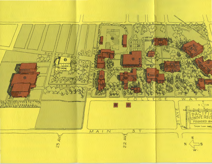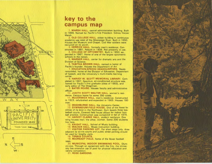## **key to the campus map**

**1 MARSH HALL,** central administration building. Built in 1896. Named for Pacific 's first President, Sidney Harper Marsh.

 2. **OLD COLLEGE HALL,** oldest building in continuous academic use west of the Mississippi River. Built in 1850. Houses the Museum and Chapel. Civil War soldiers were recruited on its porch.

3. **HERRICK HALL,** formerly men's residence. Constructed in 1881 . Rebuilt in 1 906. Not presently in use.

4. **COLLEGE OF OPTOMETRY.** Built in 1952; expanded in 1967. Home of one of the largest optometric schools in the nation.

 5. **WARNER HALL,** center for dramatic arts and the Division of Science.

 6. **TABITHA BROWN HALL,** named in honor of Pacific's founder. Houses the Department of Art.

7 **EDUCATION-SPEECH HEADQUARTERS.** Newly remodeled, home of the Division of Education, Department of Speech, and the University's multi-media learning center.

 8. **HARVEY W. SCOTT MEMORIAL LIBRARY.** Completed in 1967. Spacious, air-conditioned structure was named for Pacific's first graduate (class of 1863), and early editor of The Oregonian.

9 **BATES HOUSE.** Houses faculty and administrative offices.

10. JUDITH SCOTT WALTER HALL, women's residence. Campus home for some 250 coeds.

11. **McCORMICK HALL,** men 's residence . Constructed in 1923, refurbished and expanded in 1965. Houses 180 men .

12 **WASHBURNE HALL,** the University Center.

13 **GYMNASIUM ·FIELD HOUSE.** One of the finest facilities of its kind in the Northwest. Gym boasts three basketball courts. Covered field house allows for indoor football practice. Construction was completed in fall of 1970.

14 **HARVEY CLARKE HALL,** student residence. One wing houses men; the other, women. Some 200 students live here.

15. KNIGHT HALL, School of Music building.

16. **WALKER HALL,** Music instruction building .

17 **VISITOR PARKING LOT.** For short stops only. Area adjacent to tennis courts and public street parking should be used for lengthy visits.

18. **TENNIS COURTS.** 

19 **McCREADY FIELD,** home of the Boxer football team .

20 **MUNICIPAL INDOOR SWIMMING POOL.** Olympic-size. Through an agreement with the City, the University has extensive use of pool for physical education and varsity competition .

21 **ROSE GARDENS.** 





N \

 $\blacksquare$ 

**V<sub>A</sub>** W.  $J\bigcup$